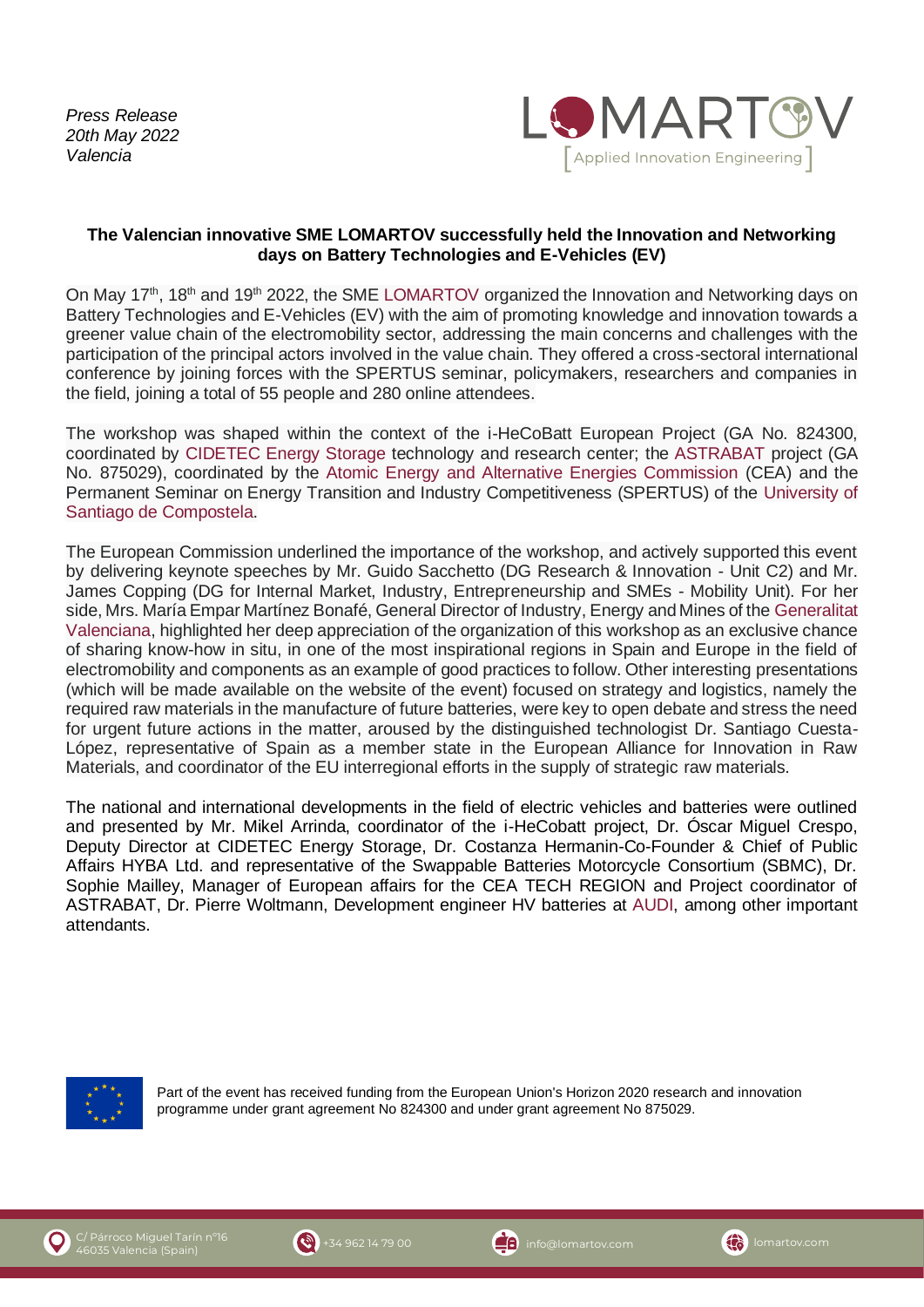*Press Release 20th May 2022 Valencia*



## **The Valencian innovative SME LOMARTOV successfully held the Innovation and Networking days on Battery Technologies and E-Vehicles (EV)**

On Mav 17<sup>th</sup>, 18<sup>th</sup> and 19<sup>th</sup> 2022, the SME [LOMARTOV](https://lomartov.com/) organized the Innovation and Networking days on Battery Technologies and E-Vehicles (EV) with the aim of promoting knowledge and innovation towards a greener value chain of the electromobility sector, addressing the main concerns and challenges with the participation of the principal actors involved in the value chain. They offered a cross-sectoral international conference by joining forces with the SPERTUS seminar, policymakers, researchers and companies in the field, joining a total of 55 people and 280 online attendees.

The workshop was shaped within the context of the i-HeCoBatt European Project (GA No. 824300, coordinated by [CIDETEC Energy Storage](https://energystorage.cidetec.es/en/home) technology and research center; the [ASTRABAT](http://astrabat.eu/) project (GA No. 875029), coordinated by the [Atomic Energy and Alternative Energies Commission](https://www.cea-tech.fr/cea-tech/english/Pages/home-uk.aspx) (CEA) and the Permanent Seminar on Energy Transition and Industry Competitiveness (SPERTUS) of the [University of](https://www.usc.gal/en)  [Santiago de Compostela.](https://www.usc.gal/en)

The European Commission underlined the importance of the workshop, and actively supported this event by delivering keynote speeches by Mr. Guido Sacchetto (DG Research & Innovation - Unit C2) and Mr. James Copping (DG for Internal Market, Industry, Entrepreneurship and SMEs - Mobility Unit). For her side, Mrs. María Empar Martínez Bonafé, General Director of Industry, Energy and Mines of the [Generalitat](https://www.gva.es/en/inicio/presentacion)  [Valenciana,](https://www.gva.es/en/inicio/presentacion) highlighted her deep appreciation of the organization of this workshop as an exclusive chance of sharing know-how in situ, in one of the most inspirational regions in Spain and Europe in the field of electromobility and components as an example of good practices to follow. Other interesting presentations (which will be made available on the website of the event) focused on strategy and logistics, namely the required raw materials in the manufacture of future batteries, were key to open debate and stress the need for urgent future actions in the matter, aroused by the distinguished technologist Dr. Santiago Cuesta-López, representative of Spain as a member state in the European Alliance for Innovation in Raw Materials, and coordinator of the EU interregional efforts in the supply of strategic raw materials.

The national and international developments in the field of electric vehicles and batteries were outlined and presented by Mr. Mikel Arrinda, coordinator of the i-HeCobatt project, Dr. Óscar Miguel Crespo, Deputy Director at CIDETEC Energy Storage, Dr. Costanza Hermanin-Co-Founder & Chief of Public Affairs HYBA Ltd. and representative of the Swappable Batteries Motorcycle Consortium (SBMC), Dr. Sophie Mailley, Manager of European affairs for the CEA TECH REGION and Project coordinator of ASTRABAT, Dr. Pierre Woltmann, Development engineer HV batteries at [AUDI,](https://www.audi.com/en.html) among other important attendants.



Part of the event has received funding from the European Union's Horizon 2020 research and innovation programme under grant agreement No 824300 and under grant agreement No 875029.